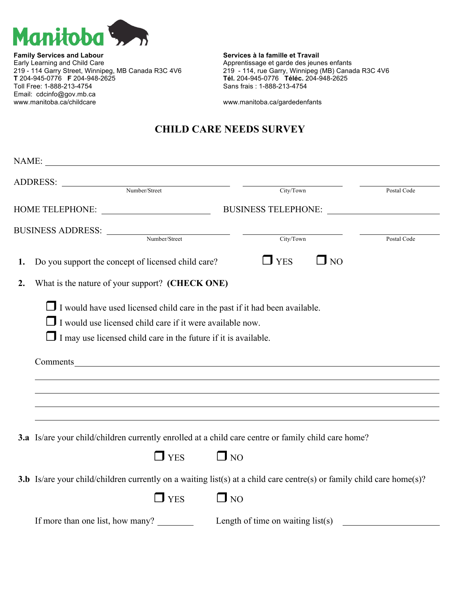

**Family Services and Labour Services à la famille et Travail** Early Learning and Child Care<br>219 - 114 Garry Street, Winnipeg, MB Canada R3C 4V6 219 - 114, rue Garry, Winnipeg (MB) Cana **T** 204-945-0776 **F** 204-948-2625 **Tél.** 204-945-0776 **Téléc.** 204-948-2625 Email: cdcinfo@gov.mb.ca<br>www.manitoba.ca/childcare

219 - 114 Garry Street, Winnipeg, MB Canada R3C 4V6 219 - 114, rue Garry, Winnipeg (MB) Canada R3C 4V6<br> **Tél.** 204-945-0776 **F** 204-948-2625 **Tél.** 204-945-0776 **Téléc.** 204-948-2625 Sans frais : 1-888-213-4754

www.manitoba.ca/gardedenfants

## **CHILD CARE NEEDS SURVEY**

|    | ADDRESS: Number/Street                                                                                                |                                                                                  |             |
|----|-----------------------------------------------------------------------------------------------------------------------|----------------------------------------------------------------------------------|-------------|
|    |                                                                                                                       | City/Town                                                                        | Postal Code |
|    |                                                                                                                       |                                                                                  |             |
|    | BUSINESS ADDRESS: Number/Street                                                                                       |                                                                                  |             |
|    |                                                                                                                       | City/Town                                                                        | Postal Code |
| 1. | Do you support the concept of licensed child care?                                                                    | $\Box$ YES<br>$\Box$ NO                                                          |             |
| 2. | What is the nature of your support? (CHECK ONE)                                                                       |                                                                                  |             |
|    | $\Box$ I would have used licensed child care in the past if it had been available.                                    |                                                                                  |             |
|    | $\Box$ I would use licensed child care if it were available now.                                                      |                                                                                  |             |
|    | $\Box$ I may use licensed child care in the future if it is available.                                                |                                                                                  |             |
|    | Comments                                                                                                              |                                                                                  |             |
|    |                                                                                                                       |                                                                                  |             |
|    |                                                                                                                       |                                                                                  |             |
|    |                                                                                                                       |                                                                                  |             |
|    |                                                                                                                       | ,我们也不会有什么。""我们的人,我们也不会有什么?""我们的人,我们也不会有什么?""我们的人,我们也不会有什么?""我们的人,我们也不会有什么?""我们的人 |             |
|    | 3.a Is/are your child/children currently enrolled at a child care centre or family child care home?                   |                                                                                  |             |
|    | $\Box$ YES                                                                                                            | $\Box$ NO                                                                        |             |
|    | 3.b Is/are your child/children currently on a waiting list(s) at a child care centre(s) or family child care home(s)? |                                                                                  |             |
|    | $\Box$ YES                                                                                                            | $\Box$ NO                                                                        |             |
|    | If more than one list, how many? Length of time on waiting $list(s)$                                                  |                                                                                  |             |